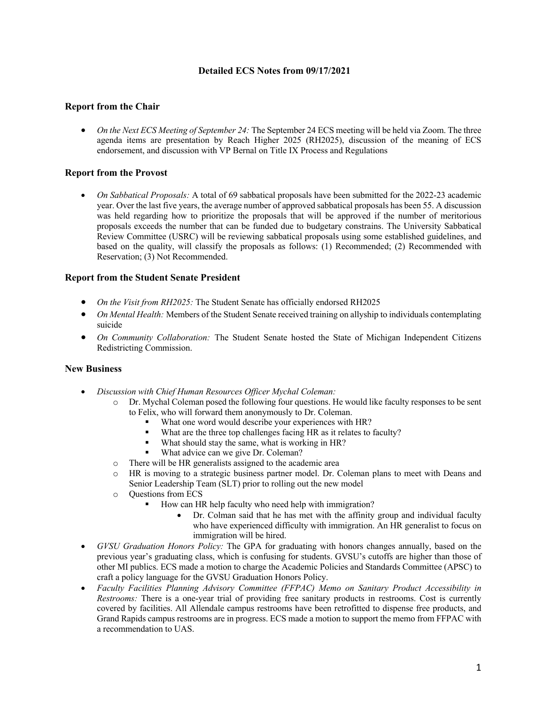# **Detailed ECS Notes from 09/17/2021**

# **Report from the Chair**

• *On the Next ECS Meeting of September 24:* The September 24 ECS meeting will be held via Zoom. The three agenda items are presentation by Reach Higher 2025 (RH2025), discussion of the meaning of ECS endorsement, and discussion with VP Bernal on Title IX Process and Regulations

# **Report from the Provost**

• *On Sabbatical Proposals:* A total of 69 sabbatical proposals have been submitted for the 2022-23 academic year. Over the last five years, the average number of approved sabbatical proposals has been 55. A discussion was held regarding how to prioritize the proposals that will be approved if the number of meritorious proposals exceeds the number that can be funded due to budgetary constrains. The University Sabbatical Review Committee (USRC) will be reviewing sabbatical proposals using some established guidelines, and based on the quality, will classify the proposals as follows: (1) Recommended; (2) Recommended with Reservation; (3) Not Recommended.

# **Report from the Student Senate President**

- *On the Visit from RH2025:* The Student Senate has officially endorsed RH2025
- *On Mental Health:* Members of the Student Senate received training on allyship to individuals contemplating suicide
- *On Community Collaboration:* The Student Senate hosted the State of Michigan Independent Citizens Redistricting Commission.

#### **New Business**

- *Discussion with Chief Human Resources Officer Mychal Coleman:*
	- Dr. Mychal Coleman posed the following four questions. He would like faculty responses to be sent to Felix, who will forward them anonymously to Dr. Coleman.
		- What one word would describe your experiences with HR?
		- What are the three top challenges facing HR as it relates to faculty?
		- What should stay the same, what is working in HR?
		- What advice can we give Dr. Coleman?
	- o There will be HR generalists assigned to the academic area
	- o HR is moving to a strategic business partner model. Dr. Coleman plans to meet with Deans and Senior Leadership Team (SLT) prior to rolling out the new model
	- o Questions from ECS
		- How can HR help faculty who need help with immigration?
			- Dr. Colman said that he has met with the affinity group and individual faculty who have experienced difficulty with immigration. An HR generalist to focus on immigration will be hired.
- *GVSU Graduation Honors Policy:* The GPA for graduating with honors changes annually, based on the previous year's graduating class, which is confusing for students. GVSU's cutoffs are higher than those of other MI publics. ECS made a motion to charge the Academic Policies and Standards Committee (APSC) to craft a policy language for the GVSU Graduation Honors Policy.
- *Faculty Facilities Planning Advisory Committee (FFPAC) Memo on Sanitary Product Accessibility in Restrooms:* There is a one-year trial of providing free sanitary products in restrooms. Cost is currently covered by facilities. All Allendale campus restrooms have been retrofitted to dispense free products, and Grand Rapids campus restrooms are in progress. ECS made a motion to support the memo from FFPAC with a recommendation to UAS.